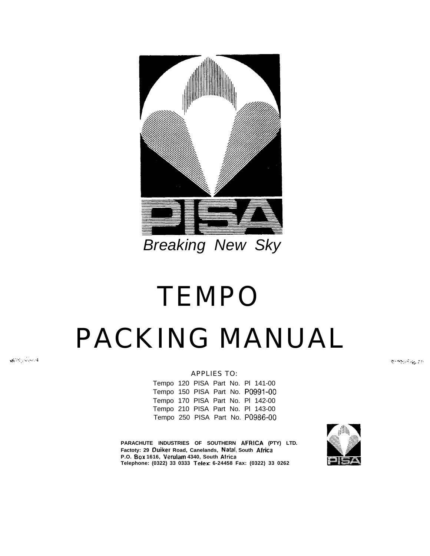

# *Breaking New Sky*

# TEMPO PACKING MANUAL

 $-8750$  ,  $-300$ 

#### APPLIES TO:

Tempo 120 PISA Part No. Pl 141-00 Tempo 150 PISA Part No. PO991-00 Tempo 170 PISA Part No. Pl 142-00 Tempo 210 PISA Part No. Pl 143-00 Tempo 250 PISA Part No. PO986-00

**PARACHUTE INDUSTRIES OF SOUTHERN AFRICA (PTY) LTD.**

**Telephone: (0322) 33 0333 Teler: 6-24458 Fax: (0322) 33 0262**

**Factoty: 29 Duiker Road, Canelands, Natal, South Africa**

**P.O. Box 1616, Verulam 4340, South Airica**



بهم والأمام والمسيح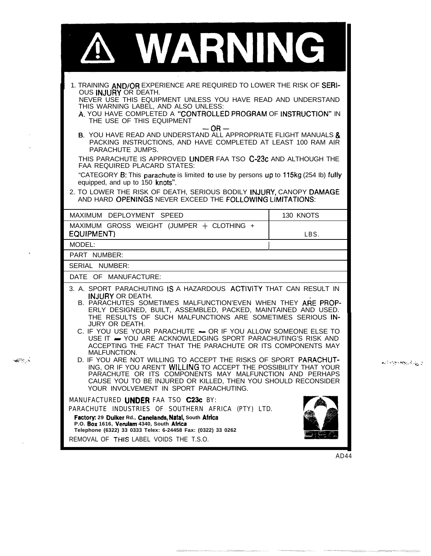| WARNING                                                                                                                                                                                                                                                                                                                                                                                                                                                                                                                                                                                                                                                                                                                                   |                   |  |  |  |
|-------------------------------------------------------------------------------------------------------------------------------------------------------------------------------------------------------------------------------------------------------------------------------------------------------------------------------------------------------------------------------------------------------------------------------------------------------------------------------------------------------------------------------------------------------------------------------------------------------------------------------------------------------------------------------------------------------------------------------------------|-------------------|--|--|--|
| 1. TRAINING AND/OR EXPERIENCE ARE REQUIRED TO LOWER THE RISK OF SERI-<br>OUS INJURY OR DEATH.<br>NEVER USE THIS EQUIPMENT UNLESS YOU HAVE READ AND UNDERSTAND<br>THIS WARNING LABEL, AND ALSO UNLESS:<br>A. YOU HAVE COMPLETED A "CONTROLLED PROGRAM OF INSTRUCTION" IN<br>THE USE OF THIS EQUIPMENT<br>$-OR-$<br>B. YOU HAVE READ AND UNDERSTAND ALL APPROPRIATE FLIGHT MANUALS &                                                                                                                                                                                                                                                                                                                                                        |                   |  |  |  |
| PACKING INSTRUCTIONS, AND HAVE COMPLETED AT LEAST 100 RAM AIR<br>PARACHUTE JUMPS.<br>THIS PARACHUTE IS APPROVED UNDER FAA TSO C-23c AND ALTHOUGH THE<br><b>FAA REQUIRED PLACARD STATES:</b><br>"CATEGORY B: This parachute is limited to use by persons up to 115kg (254 lb) fully<br>equipped, and up to 150 knots".<br>2. TO LOWER THE RISK OF DEATH, SERIOUS BODILY INJURY, CANOPY DAMAGE<br>AND HARD OPENINGS NEVER EXCEED THE FOLLOWING LIMITATIONS:                                                                                                                                                                                                                                                                                 |                   |  |  |  |
| MAXIMUM DEPLOYMENT SPEED<br>MAXIMUM GROSS WEIGHT (JUMPER + CLOTHING +<br><b>EQUIPMENT)</b>                                                                                                                                                                                                                                                                                                                                                                                                                                                                                                                                                                                                                                                | 130 KNOTS<br>LBS. |  |  |  |
| MODEL:<br>PART NUMBER:<br>SERIAL NUMBER:                                                                                                                                                                                                                                                                                                                                                                                                                                                                                                                                                                                                                                                                                                  |                   |  |  |  |
| DATE OF MANUFACTURE:                                                                                                                                                                                                                                                                                                                                                                                                                                                                                                                                                                                                                                                                                                                      |                   |  |  |  |
| 3. A. SPORT PARACHUTING IS A HAZARDOUS ACTIVITY THAT CAN RESULT IN<br><b>INJURY OR DEATH.</b><br>B. PARACHUTES SOMETIMES MALFUNCTION'EVEN WHEN THEY ARE PROP-<br>ERLY DESIGNED, BUILT, ASSEMBLED, PACKED, MAINTAINED AND USED.<br>THE RESULTS OF SUCH MALFUNCTIONS ARE SOMETIMES SERIOUS IN-<br><b>JURY OR DEATH.</b><br>C. IF YOU USE YOUR PARACHUTE - OR IF YOU ALLOW SOMEONE ELSE TO<br>USE IT - YOU ARE ACKNOWLEDGING SPORT PARACHUTING'S RISK AND<br>ACCEPTING THE FACT THAT THE PARACHUTE OR ITS COMPONENTS MAY<br>MALFUNCTION.<br>D. IF YOU ARE NOT WILLING TO ACCEPT THE RISKS OF SPORT PARACHUT-<br>ING, OR IF YOU AREN'T WILLING TO ACCEPT THE POSSIBILITY THAT YOUR<br>PARACHUTE OR ITS COMPONENTS MAY MALFUNCTION AND PERHAPS |                   |  |  |  |
| CAUSE YOU TO BE INJURED OR KILLED, THEN YOU SHOULD RECONSIDER<br>YOUR INVOLVEMENT IN SPORT PARACHUTING.<br>MANUFACTURED UNDER FAA TSO C23c BY:<br>PARACHUTE INDUSTRIES OF SOUTHERN AFRICA (PTY) LTD.<br>Factory: 29 Duiker Rd., Canelands, Natal, South Africa<br>P.O. Box 1616, Verulam 4340, South Africa<br>Telephone (6322) 33 0333 Telex: 6-24458 Fax: (0322) 33 0262                                                                                                                                                                                                                                                                                                                                                                |                   |  |  |  |
| REMOVAL OF THIS LABEL VOIDS THE T.S.O.                                                                                                                                                                                                                                                                                                                                                                                                                                                                                                                                                                                                                                                                                                    |                   |  |  |  |

 $\sim$  $\sim$ 

 $\ddot{\phantom{a}}$ 

 $\mathcal{R}(\mathcal{G})$  ,

 $\bar{\bar{z}}$ 



AD44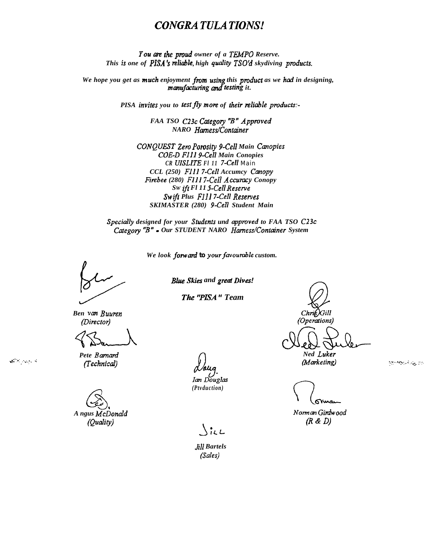### **CONGRATULATIONS!**

You are the proud owner of a TEMPO Reserve. This is one of PISA's reliable, high quality TSO'd skydiving products.

We hope you get as much enjoyment from using this product as we had in designing, manufacturing and testing it.

PISA invites you to test fly more of their reliable products:-

FAA TSO C23c Category "B" Approved NARO Hamess/Container

CONQUEST Zero Porosity 9-Cell Main Canopies **COE-D F111 9-Cell Main Conopies** CR UISLITE FI 11 7-Cell Main CCL (250) F111 7-Cell Accumcy Canopy Firebee (280) F111 7-Cell Accuracy Conopy Sw ift Fl 11 5-Cell Reserve Swift Plus F1117-Cell Reserves SKIMASTER (280) 9-Cell Student Main

Specially designed for your Students und approved to FAA TSO C23c Category "B" • Our STUDENT NARO Harness/Container System

We look forward to your favourable custom.

**Blue Skies and great Dives!** 

The "PISA" Team

Ben van Buuren (Director)

Pete Barnard (Technical)

A ngus McDonald (Quality)

Ian Douglas (Ptvduction)

 $\chi_{i\iota\iota}$ 

**Jill Bartels** (Sales)

 $Chri6$ ) $Gill$ (Operations)

> Ned Luker (Marketing)

أوواليهاد فليتجع ويوم

Norman Girdwood  $(R & D)$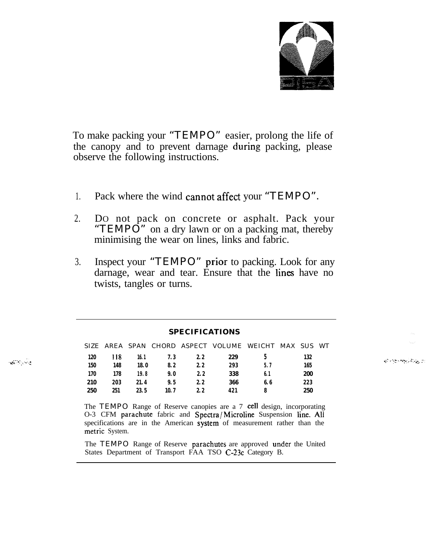

To make packing your "TEMPO" easier, prolong the life of the canopy and to prevent darnage during packing, please observe the following instructions.

- 1. Pack where the wind cannot affect your "TEMPO".
- 2. DO not pack on concrete or asphalt. Pack your "TEMPO" on a dry lawn or on a packing mat, thereby minimising the wear on lines, links and fabric.
- 3. Inspect your "TEMPO" Prior to packing. Look for any darnage, wear and tear. Ensure that the lines have no twists, tangles or turns.

| <b>SPECIFICATIONS</b> |     |       |      |     |                                                   |      |  |     |     |
|-----------------------|-----|-------|------|-----|---------------------------------------------------|------|--|-----|-----|
|                       |     |       |      |     | SIZE AREA SPAN CHORD ASPECT VOLUME WEICHT MAX SUS |      |  |     | WT. |
| 120                   | 118 | 16. 1 | 7.3  | 2.2 | 229                                               |      |  | 132 |     |
| 150                   | 148 | 18.0  | 8.2  | 2.2 | 293                                               | 5.7  |  | 165 |     |
| 170                   | 178 | 19.8  | 9. 0 | 2.2 | 338                                               | 6. 1 |  | 200 |     |
| 210                   | 203 | 21.4  | 9.5  | 2.2 | 366                                               | 6.6  |  | 223 |     |
| 250                   | 251 | 23.5  | 10.7 | 2.2 | 421                                               | 8    |  | 250 |     |

 $\mathcal{A}^{\text{max}}$  , where

The TEMPO Range of Reserve canopies are a 7 cell design, incorporating O-3 CFM parachute fabric and Spectra/Microline Suspension line. All specifications are in the American System of measurement rather than the metric System.

The TEMPO Range of Reserve parachutes are approved under the United States Department of Transport FAA TSO C-23c Category B.

ام <sub>م</sub>ونځار په د پره د پ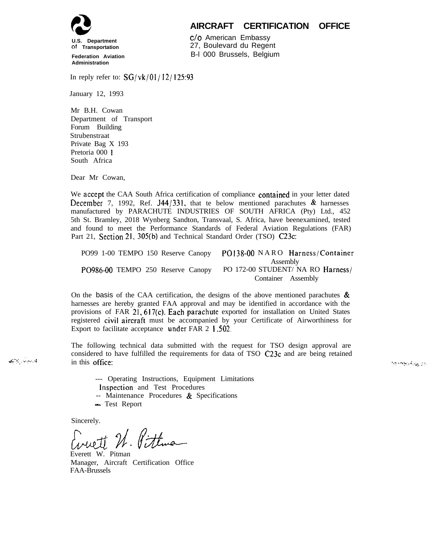

#### **AIRCRAFT CERTIFICATION OFFICE**

**of Transportation Federation Aviation Administration**

c/o American Embassy 27, Boulevard du Regent B-l 000 Brussels, Belgium

In reply refer to:  $SG/vk/01/12/125:93$ 

January 12, 1993

Mr B.H. Cowan Department of Transport Forum Building Strubenstraat Private Bag X 193 Pretoria 000 1 South Africa

Dear Mr Cowan,

We accept the CAA South Africa certification of compliance contained in your letter dated December 7, 1992, Ref. J44/331, that te below mentioned parachutes  $\&$  harnesses manufactured by PARACHUTE INDUSTRIES OF SOUTH AFRICA (Pty) Ltd., 452 5th St. Bramley, 2018 Wynberg Sandton, Transvaal, S. Africa, have beenexamined, tested and found to meet the Performance Standards of Federal Aviation Regulations (FAR) Part 21, Section 21, 305(b) and Technical Standard Order (TSO) C23c:

| PO99 1-00 TEMPO 150 Reserve Canopy PO138-00 NARO Harness/Container |                                               |  |  |
|--------------------------------------------------------------------|-----------------------------------------------|--|--|
| PO986-00 TEMPO 250 Reserve Canopy                                  | Assembly<br>PO 172-00 STUDENT/ NA RO Harness/ |  |  |
|                                                                    | Container Assembly                            |  |  |

On the basis of the CAA certification, the designs of the above mentioned parachutes  $\&$ harnesses are hereby granted FAA approval and may be identified in accordance with the provisions of FAR 21, 617(c). Each parachute exported for installation on United States registered civil aircraft must be accompanied by your Certificate of Airworthiness for Export to facilitate acceptance under FAR 2 I .SO2.

The following technical data submitted with the request for TSO design approval are considered to have fulfilled the requirements for data of TSO C23c and are being retained in this Office:

وواري والمربوطة ووم

--- Operating Instructions, Equipment Limitations Inspection and Test Procedures

-- Maintenance Procedures & Specifications

- Test Report

Sincerely.

له بېلېرې دونې

wet 2. Pittma

Everett W. Pitman Manager, Aircraft Certification Office FAA-Brussels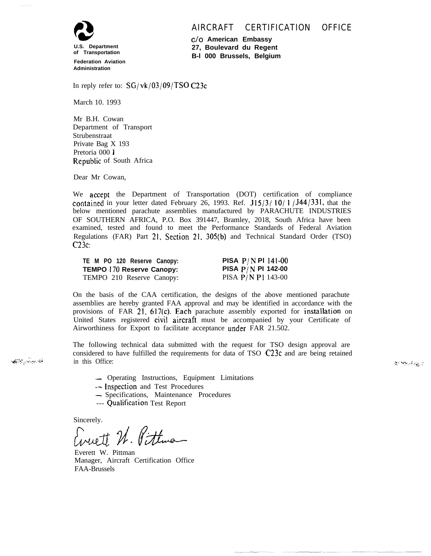#### AIRCRAFT CERTIFICATION OFFICE



**of Transportation Federation Aviation Administration**

**c/o American Embassy 27, Boulevard du Regent B-l 000 Brussels, Belgium**

In reply refer to:  $SG/vk/03/09/TSO C23c$ 

March 10. 1993

Mr B.H. Cowan Department of Transport Strubenstraat Private Bag X 193 Pretoria 000 1 Republic of South Africa

Dear Mr Cowan,

We accept the Department of Transportation (DOT) certification of compliance contained in your letter dated February 26, 1993. Ref.  $J15/3/10/1/J44/331$ , that the below mentioned parachute assemblies manufactured by PARACHUTE INDUSTRIES OF SOUTHERN AFRICA, P.O. Box 391447, Bramley, 2018, South Africa have been examined, tested and found to meet the Performance Standards of Federal Aviation Regulations (FAR) Part 21, Section 21, 305(b) and Technical Standard Order (TSO) C23c:

**TE M PO 120 Reserve Canopy: PISA P/N Pl 141-00 TEMPO 170 Reserve Canopy: PISA P/N PI 142-00**<br>TEMPO 210 Reserve Canopy: PISA P/N P1 143-00 TEMPO 210 Reserve Canopy:

On the basis of the CAA certification, the designs of the above mentioned parachute assemblies are hereby granted FAA approval and may be identified in accordance with the provisions of FAR 21, 617(c). Each parachute assembly exported for installation on United States registered civil aircraft must be accompanied by your Certificate of Airworthiness for Export to facilitate acceptance under FAR 21.502.

The following technical data submitted with the request for TSO design approval are considered to have fulfilled the requirements for data of TSO C23c and are being retained in this Office:

و پېږېږېدنه

- .- Operating Instructions, Equipment Limitations
- -- Inspection and Test Procedures
- Specifications, Maintenance Procedures
- --- Qualification Test Report

Sincerely.

Everett N. Pittma

Everett W. Pittman Manager, Aircraft Certification Office FAA-Brussels

فأعديني وأردع والإقلاء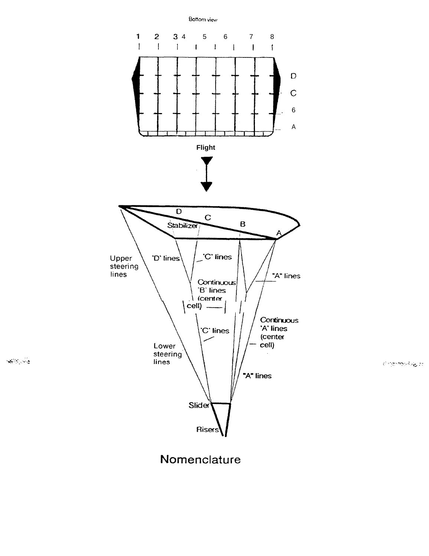

ව ඇප්පැවිණු 11

### Nomenclature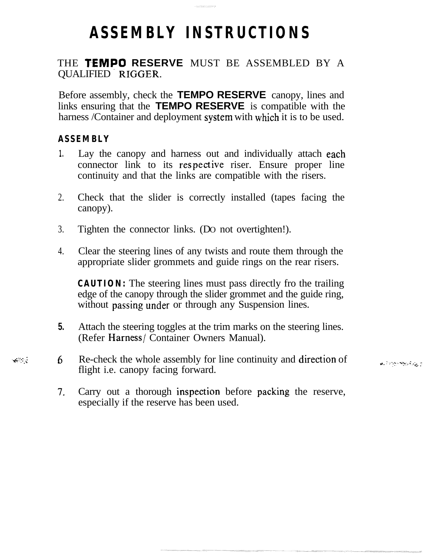# **ASSEMBLY INSTRUCTIONS**

.<br>Printin matematik

### THE **TEMPO RESERVE** MUST BE ASSEMBLED BY A QUALIFIED RIGGER.

Before assembly, check the **TEMPO RESERVE** canopy, lines and links ensuring that the **TEMPO RESERVE** is compatible with the harness /Container and deployment system with which it is to be used.

### **ASSEMBLY**

 $\mathcal{L}(\mathcal{E})$  ,  $\mathcal{E}$ 

- **1 .** Lay the canopy and harness out and individually attach each connector link to its respective riser. Ensure proper line continuity and that the links are compatible with the risers.
- 2. Check that the slider is correctly installed (tapes facing the canopy).
- 3. Tighten the connector links. (DO not overtighten!).
- 4. Clear the steering lines of any twists and route them through the appropriate slider grommets and guide rings on the rear risers.

**CAUTION:** The steering lines must pass directly fro the trailing edge of the canopy through the slider grommet and the guide ring, without passing under or through any Suspension lines.

- **5.** Attach the steering toggles at the trim marks on the steering lines. (Refer Harness/ Container Owners Manual).
- 6. Re-check the whole assembly for line continuity and direction of  $\mathbb{R}^3 \times \mathbb{R}^3$ flight i.e. canopy facing forward.
	- **7,** Carry out a thorough inspection before packing the reserve, especially if the reserve has been used.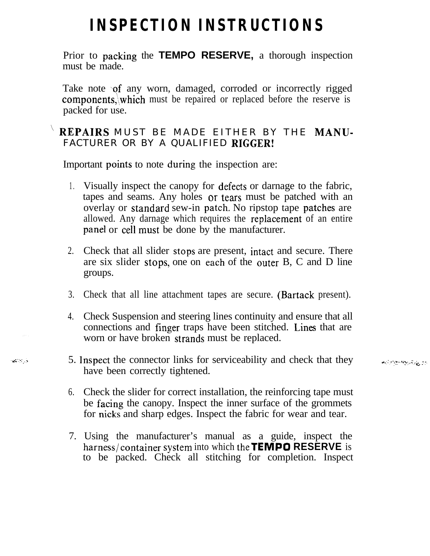## **INSPECTION INSTRUCTIONS**

Prior to packing the **TEMPO RESERVE,** a thorough inspection must be made.

Take note of any worn, damaged, corroded or incorrectly rigged components, which must be repaired or replaced before the reserve is packed for use.

### REPAIRS MUST BE MADE EITHER BY THE MANU-FACTURER OR BY A QUALIFIED RIGGER!

Important points to note during the inspection are:

 $\sim 100$ 

- 1 . Visually inspect the canopy for defects or darnage to the fabric, tapes and seams. Any holes or tears must be patched with an overlay or standard sew-in patch. No ripstop tape patches are allowed. Any darnage which requires the replacement of an entire Panel or cell must be done by the manufacturer.
- 2. Check that all slider stops are present, intact and secure. There are six slider stops, one on each of the outer B, C and D line groups.
- 3. Check that all line attachment tapes are secure. (Bartack present).
- 4. Check Suspension and steering lines continuity and ensure that all connections and finger traps have been stitched. Lines that are worn or have broken strands must be replaced.
- 5. lnspect the connector links for serviceability and check that they have been correctly tightened.
- 6. Check the slider for correct installation, the reinforcing tape must be facing the canopy. Inspect the inner surface of the grommets for nicks and sharp edges. Inspect the fabric for wear and tear.
- 7. Using the manufacturer's manual as a guide, inspect the harness/container System into which **theTEMP0 RESERVE** is to be packed. Check all stitching for completion. Inspect

ووالمراقبهم والمجاوز والمحا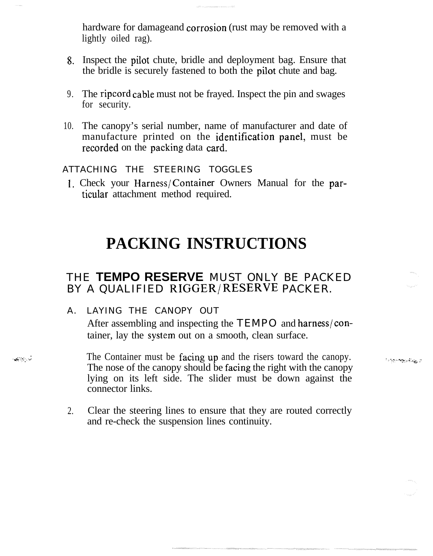hardware for damageand corrosion (rust may be removed with a lightly oiled rag).

- 8. Inspect the Pilot chute, bridle and deployment bag. Ensure that the bridle is securely fastened to both the pilot chute and bag.
- 9. The ripcord cable must not be frayed. Inspect the pin and swages for security.
- 10. The canopy's serial number, name of manufacturer and date of manufacture printed on the identification panel, must be recorded on the packing data card.

ATTACHING THE STEERING TOGGLES

1. Check your Harness/Container Owners Manual for the particular attachment method required.

### **PACKING INSTRUCTIONS**

### THE **TEMPO RESERVE** MUST ONLY BE PACKED BY A QUALIFIED RIGGER/RESERVE PACKER.

A. LAYING THE CANOPY OUT

.<br>مورد به به ب

After assembling and inspecting the TEMPO and harness/container, lay the System out on a smooth, clean surface.

<u>الي وڏاڪريون جي پا</u>

- The Container must be facing up and the risers toward the canopy. The nose of the canopy should be facing the right with the canopy lying on its left side. The slider must be down against the connector links.
- 2. Clear the steering lines to ensure that they are routed correctly and re-check the suspension lines continuity.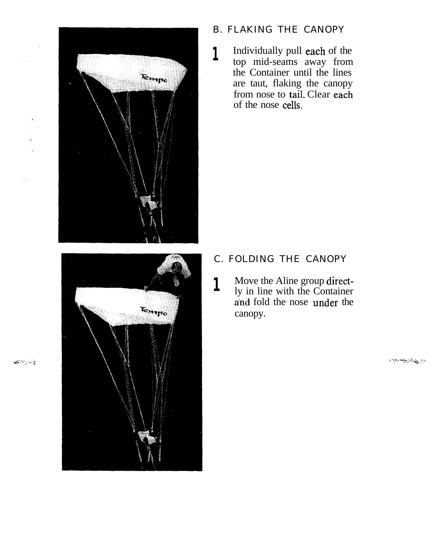

- B. FLAKING THE CANOPY
- **1** Individually pull each of the top mid-seams away from the Container until the lines are taut, flaking the canopy from nose to tail. Clear each of the nose cells.

- C. FOLDING THE CANOPY
- **1** Move the Aline group directly in line with the Container and fold the nose under the canopy.

وتبريحها

 $\epsilon$ 

1980-1980 10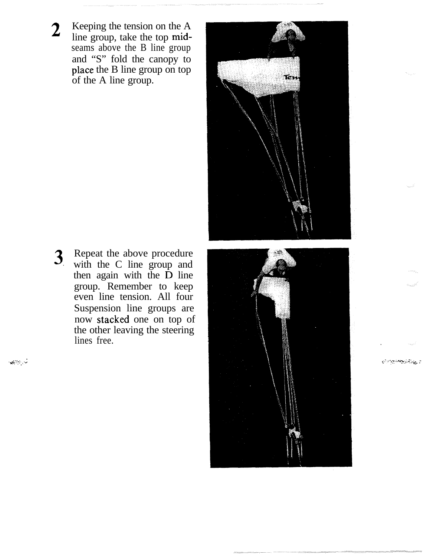**2** Keeping the tension on the A line group, take the top midseams above the B line group and "S" fold the canopy to place the B line group on top of the A line group.

**3,** Repeat the above procedure with the C line group and then again with the  $\overrightarrow{D}$  line group. Remember to keep even line tension. All four Suspension line groups are now stacked one on top of the other leaving the steering lines free.

فللرباء والمقاياة





<u>ئىرى ئەنبىيە بەر بەر بەر</u>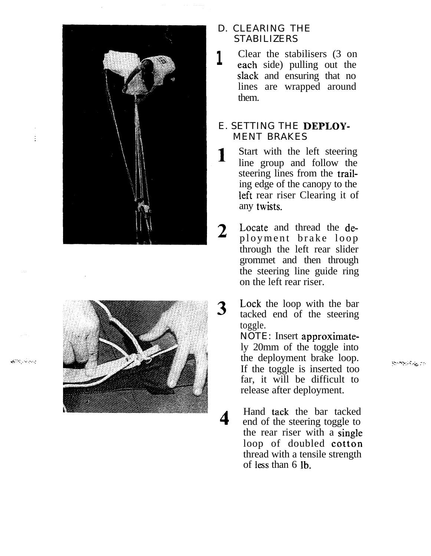ŧ

والمعيالك والاعتياج



- D. CLEARING THE STABILIZERS
- **1** Clear the stabilisers (3 on each side) pulling out the slack and ensuring that no lines are wrapped around them.

### E. SETTING THE DEPLOY-MENT BRAKES

- Start with the left steering 1 line group and follow the steering lines from the trailing edge of the canopy to the left rear riser Clearing it of any twists.
	- Locate and thread the deployment brake loop through the left rear slider grommet and then through the steering line guide ring on the left rear riser.
- Lock the loop with the bar 3 tacked end of the steering toggle.

NOTE: Insert approximately 20mm of the toggle into the deployment brake loop. If the toggle is inserted too far, it will be difficult to release after deployment.

Hand tack the bar tacked end of the steering toggle to the rear riser with a Single loop of doubled cotton thread with a tensile strength of less than 6 Ib.

**RomeinSig 20**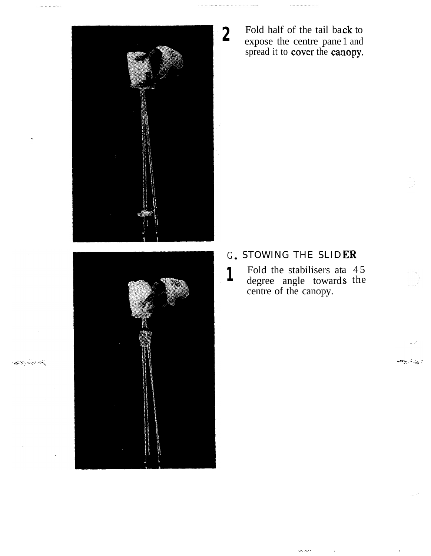

المحارب المراجع المجالية المحاربة المراجعة المراجعة المراجعة المراجعة المراجعة المراجعة المراجعة المراجعة المر<br>المراجعة

Fold half of the tail back to expose the centre pane 1 and spread it to cover the canopy.

### G. STOWING THE SLIDER

Fold the stabilisers at 45  $\mathbf{1}$ degree angle towards the<br>centre of the canopy.

oor oo f

ر پرداخونه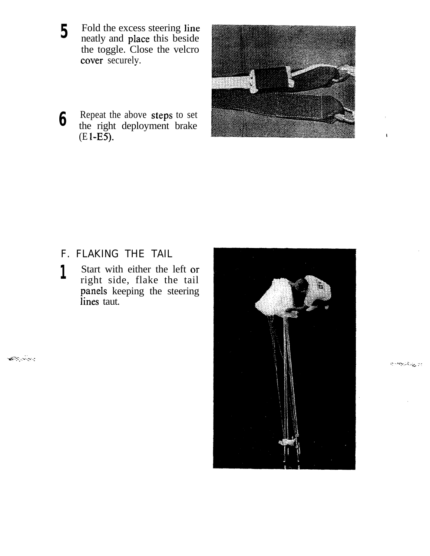- **5** Fold the excess steering line neatly and place this beside the toggle. Close the velcro cover securelv.
- **6** Repeat the above Steps to set the right deployment brake  $(E1-E5)$ .



F. FLAKING THE TAIL

والجانب وتقفهم

1 Start with either the left or right side, flake the tail Panels keeping the steering lines taut.



**RUPRESSIE DE** 

 $\mathbf{I}$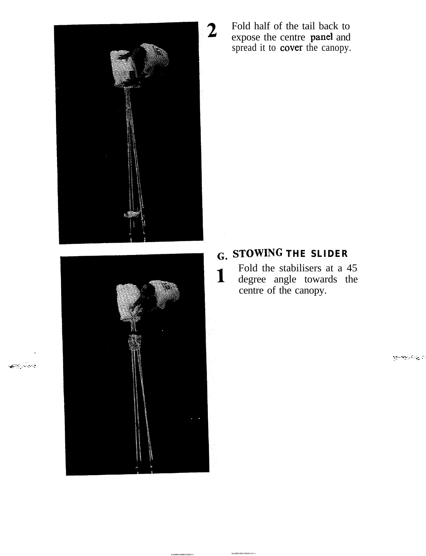



والوالي وتتعا

.................. .................

Fold half of the tail back to expose the centre panel and spread it to **cover** the canopy.

### **G. STOWING THE SLIDER**

Fold the stabilisers at a 45  $\mathbf{1}$ degree angle towards the centre of the canopy.

أأرج والحراجة الجوا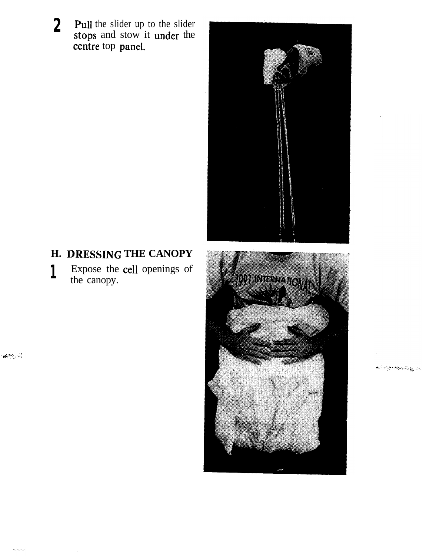**2 Pull** the slider up to the slider stops and stow it under the centre top panel.



### **H. IRESSING THE CANOPY**

**1** Expose the cell openings of the canopy.

ول موسيعيا



موجودة والمستعجبة والمحافظة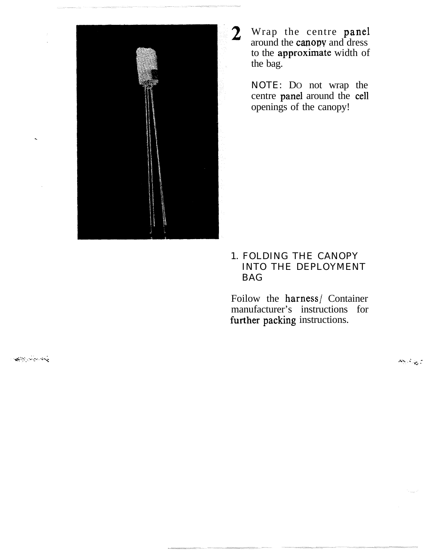

Wrap the centre panel around the canopy and dress to the approximate width of the bag.

NOTE: DO not wrap the centre panel around the cell openings of the canopy!

### 1. FOLDING THE CANOPY INTO THE DEPLOYMENT BAG

Foilow the harness/ Container manufacturer's instructions for further packing instructions.

المحافظ الموارد المحافظة<br>المحافظة

 $\mathcal{B}(\mathbf{y},\mathbf{y})$  .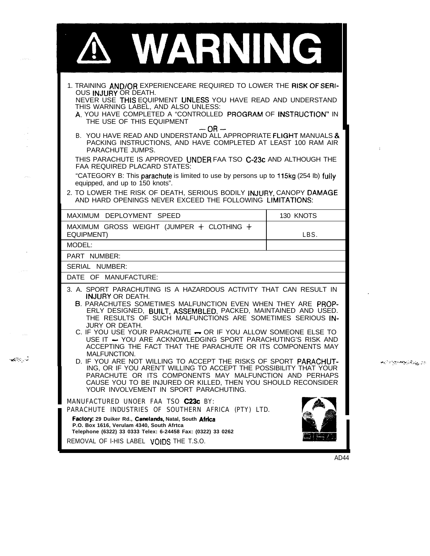| VARNING                                                                                                                                                                                                                                                                                                                                                                                                                                                                                                                        |                             |  |
|--------------------------------------------------------------------------------------------------------------------------------------------------------------------------------------------------------------------------------------------------------------------------------------------------------------------------------------------------------------------------------------------------------------------------------------------------------------------------------------------------------------------------------|-----------------------------|--|
| 1. TRAINING AND/OR EXPERIENCEARE REQUIRED TO LOWER THE RISK OF SERI-<br>OUS INJURY OR DEATH.<br>NEVER USE THIS EQUIPMENT UNLESS YOU HAVE READ AND UNDERSTAND<br>THIS WARNING LABEL, AND ALSO UNLESS:<br>A. YOU HAVE COMPLETED A "CONTROLLED PROGRAM OF INSTRUCTION" IN<br>THE USE OF THIS EQUIPMENT<br>$-OR-$                                                                                                                                                                                                                  |                             |  |
| B. YOU HAVE READ AND UNDERSTAND ALL APPROPRIATE FLIGHT MANUALS &<br>PACKING INSTRUCTIONS, AND HAVE COMPLETED AT LEAST 100 RAM AIR<br>PARACHUTE JUMPS.<br>THIS PARACHUTE IS APPROVED UNDER FAA TSO C-23c AND ALTHOUGH THE                                                                                                                                                                                                                                                                                                       | $\Gamma$                    |  |
| FAA REQUIRED PLACARD STATES:<br>"CATEGORY B: This parachute is limited to use by persons up to 115kg (254 lb) fully<br>equipped, and up to 150 knots".                                                                                                                                                                                                                                                                                                                                                                         |                             |  |
| 2. TO LOWER THE RISK OF DEATH, SERIOUS BODILY INJURY, CANOPY DAMAGE<br>AND HARD OPENINGS NEVER EXCEED THE FOLLOWING LIMITATIONS:                                                                                                                                                                                                                                                                                                                                                                                               |                             |  |
| MAXIMUM DEPLOYMENT SPEED                                                                                                                                                                                                                                                                                                                                                                                                                                                                                                       | 130 KNOTS                   |  |
| MAXIMUM GROSS WEIGHT (JUMPER $+$ CLOTHING $+$<br><b>EQUIPMENT)</b>                                                                                                                                                                                                                                                                                                                                                                                                                                                             | LBS.                        |  |
| MODEL:                                                                                                                                                                                                                                                                                                                                                                                                                                                                                                                         |                             |  |
| PART NUMBER:                                                                                                                                                                                                                                                                                                                                                                                                                                                                                                                   |                             |  |
| SERIAL NUMBER:                                                                                                                                                                                                                                                                                                                                                                                                                                                                                                                 |                             |  |
| DATE OF MANUFACTURE:                                                                                                                                                                                                                                                                                                                                                                                                                                                                                                           |                             |  |
| 3. A. SPORT PARACHUTING IS A HAZARDOUS ACTIVITY THAT CAN RESULT IN<br><b>INJURY OR DEATH.</b><br>B. PARACHUTES SOMETIMES MALFUNCTION EVEN WHEN THEY ARE PROP-<br>ERLY DESIGNED, BUILT, ASSEMBLED, PACKED, MAINTAINED AND USED.<br>THE RESULTS OF SUCH MALFUNCTIONS ARE SOMETIMES SERIOUS IN-<br>JURY OR DEATH.<br>C. IF YOU USE YOUR PARACHUTE - OR IF YOU ALLOW SOMEONE ELSE TO<br>USE IT - YOU ARE ACKNOWLEDGING SPORT PARACHUTING'S RISK AND<br>ACCEPTING THE FACT THAT THE PARACHUTE OR ITS COMPONENTS MAY<br>MALFUNCTION. |                             |  |
| D. IF YOU ARE NOT WILLING TO ACCEPT THE RISKS OF SPORT PARACHUT-<br>ING, OR IF YOU AREN'T WILLING TO ACCEPT THE POSSIBILITY THAT YOUR<br>PARACHUTE OR ITS COMPONENTS MAY MALFUNCTION AND PERHAPS<br>CAUSE YOU TO BE INJURED OR KILLED, THEN YOU SHOULD RECONSIDER<br>YOUR INVOLVEMENT IN SPORT PARACHUTING.                                                                                                                                                                                                                    | <u>؆ؾ۩ڹ۩ڔڗڲڹڋڮ؇</u> ڲڰٷڲڹٷٵ |  |
| MANUFACTURED UNOER FAA TSO C23c BY:<br>PARACHUTE INDUSTRIES OF SOUTHERN AFRICA (PTY) LTD.<br>Factory: 29 Duiker Rd., Canelands, Natal, South Africa<br>P.O. Box 1616, Verulam 4340, South Afrtca<br>Telephone (6322) 33 0333 Telex: 6-24458 Fax: (0322) 33 0262<br>REMOVAL OF I-HIS LABEL VOIDS THE T.S.O.                                                                                                                                                                                                                     |                             |  |

 $\hat{\tau}$  , i.e.  $\hat{\tau}$  ,

 $\begin{array}{c} \mathcal{L} \mathcal{L} \\ \mathcal{L} \end{array}$  $\hat{\mathcal{A}}$ 

 $\langle \rho_{\rm{max}} \rangle$ 

 $\sim$   $\sim$ 

 $\mathcal{A}^{\mathcal{I}\mathcal{I}}$  ,  $\mathcal{I}$ 

÷.